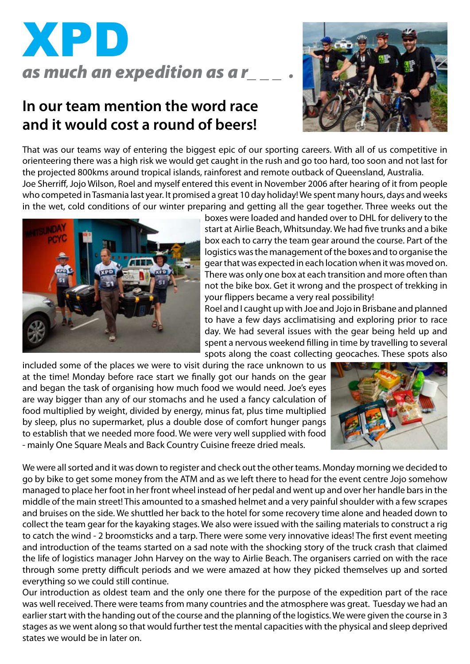

# **In our team mention the word race and it would cost a round of beers!**



That was our teams way of entering the biggest epic of our sporting careers. With all of us competitive in orienteering there was a high risk we would get caught in the rush and go too hard, too soon and not last for the projected 800kms around tropical islands, rainforest and remote outback of Queensland, Australia.

Joe Sherriff, Jojo Wilson, Roel and myself entered this event in November 2006 after hearing of it from people who competed in Tasmania last year. It promised a great 10 day holiday! We spent many hours, days and weeks in the wet, cold conditions of our winter preparing and getting all the gear together. Three weeks out the



boxes were loaded and handed over to DHL for delivery to the start at Airlie Beach, Whitsunday. We had five trunks and a bike box each to carry the team gear around the course. Part of the logistics was the management of the boxes and to organise the gear that was expected in each location when it was moved on. There was only one box at each transition and more often than not the bike box. Get it wrong and the prospect of trekking in your flippers became a very real possibility!

Roel and I caught up with Joe and Jojo in Brisbane and planned to have a few days acclimatising and exploring prior to race day. We had several issues with the gear being held up and spent a nervous weekend filling in time by travelling to several spots along the coast collecting geocaches. These spots also

included some of the places we were to visit during the race unknown to us at the time! Monday before race start we finally got our hands on the gear and began the task of organising how much food we would need. Joe's eyes are way bigger than any of our stomachs and he used a fancy calculation of food multiplied by weight, divided by energy, minus fat, plus time multiplied by sleep, plus no supermarket, plus a double dose of comfort hunger pangs to establish that we needed more food. We were very well supplied with food - mainly One Square Meals and Back Country Cuisine freeze dried meals.



We were all sorted and it was down to register and check out the other teams. Monday morning we decided to go by bike to get some money from the ATM and as we left there to head for the event centre Jojo somehow managed to place her foot in her front wheel instead of her pedal and went up and over her handle bars in the middle of the main street! This amounted to a smashed helmet and a very painful shoulder with a few scrapes and bruises on the side. We shuttled her back to the hotel for some recovery time alone and headed down to collect the team gear for the kayaking stages. We also were issued with the sailing materials to construct a rig to catch the wind - 2 broomsticks and a tarp. There were some very innovative ideas! The first event meeting and introduction of the teams started on a sad note with the shocking story of the truck crash that claimed the life of logistics manager John Harvey on the way to Airlie Beach. The organisers carried on with the race through some pretty difficult periods and we were amazed at how they picked themselves up and sorted everything so we could still continue.

Our introduction as oldest team and the only one there for the purpose of the expedition part of the race was well received. There were teams from many countries and the atmosphere was great. Tuesday we had an earlier start with the handing out of the course and the planning of the logistics. We were given the course in 3 stages as we went along so that would further test the mental capacities with the physical and sleep deprived states we would be in later on.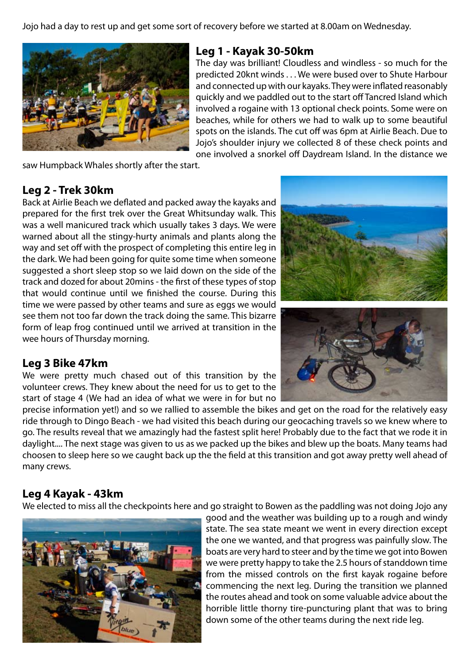Jojo had a day to rest up and get some sort of recovery before we started at 8.00am on Wednesday.



#### **Leg 1 - Kayak 30-50km**

The day was brilliant! Cloudless and windless - so much for the predicted 20knt winds . . . We were bused over to Shute Harbour and connected up with our kayaks. They were inflated reasonably quickly and we paddled out to the start off Tancred Island which involved a rogaine with 13 optional check points. Some were on beaches, while for others we had to walk up to some beautiful spots on the islands. The cut off was 6pm at Airlie Beach. Due to Jojo's shoulder injury we collected 8 of these check points and one involved a snorkel off Daydream Island. In the distance we

saw Humpback Whales shortly after the start.

## **Leg 2 - Trek 30km**

Back at Airlie Beach we deflated and packed away the kayaks and prepared for the first trek over the Great Whitsunday walk. This was a well manicured track which usually takes 3 days. We were warned about all the stingy-hurty animals and plants along the way and set off with the prospect of completing this entire leg in the dark. We had been going for quite some time when someone suggested a short sleep stop so we laid down on the side of the track and dozed for about 20mins - the first of these types of stop that would continue until we finished the course. During this time we were passed by other teams and sure as eggs we would see them not too far down the track doing the same. This bizarre form of leap frog continued until we arrived at transition in the wee hours of Thursday morning.

## **Leg 3 Bike 47km**

We were pretty much chased out of this transition by the volunteer crews. They knew about the need for us to get to the start of stage 4 (We had an idea of what we were in for but no





precise information yet!) and so we rallied to assemble the bikes and get on the road for the relatively easy ride through to Dingo Beach - we had visited this beach during our geocaching travels so we knew where to go. The results reveal that we amazingly had the fastest split here! Probably due to the fact that we rode it in daylight.... The next stage was given to us as we packed up the bikes and blew up the boats. Many teams had choosen to sleep here so we caught back up the the field at this transition and got away pretty well ahead of many crews.

# **Leg 4 Kayak - 43km**

We elected to miss all the checkpoints here and go straight to Bowen as the paddling was not doing Jojo any



good and the weather was building up to a rough and windy state. The sea state meant we went in every direction except the one we wanted, and that progress was painfully slow. The boats are very hard to steer and by the time we got into Bowen we were pretty happy to take the 2.5 hours of standdown time from the missed controls on the first kayak rogaine before commencing the next leg. During the transition we planned the routes ahead and took on some valuable advice about the horrible little thorny tire-puncturing plant that was to bring down some of the other teams during the next ride leg.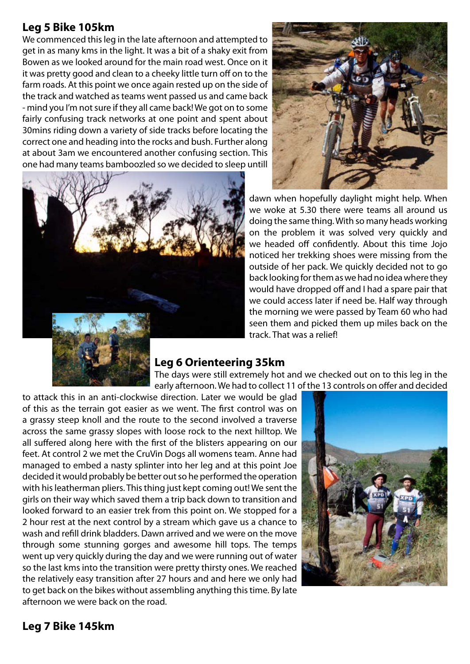## **Leg 5 Bike 105km**

We commenced this leg in the late afternoon and attempted to get in as many kms in the light. It was a bit of a shaky exit from Bowen as we looked around for the main road west. Once on it it was pretty good and clean to a cheeky little turn off on to the farm roads. At this point we once again rested up on the side of the track and watched as teams went passed us and came back - mind you I'm not sure if they all came back! We got on to some fairly confusing track networks at one point and spent about 30mins riding down a variety of side tracks before locating the correct one and heading into the rocks and bush. Further along at about 3am we encountered another confusing section. This one had many teams bamboozled so we decided to sleep untill





dawn when hopefully daylight might help. When we woke at 5.30 there were teams all around us doing the same thing. With so many heads working on the problem it was solved very quickly and we headed off confidently. About this time Jojo noticed her trekking shoes were missing from the outside of her pack. We quickly decided not to go back looking for them as we had no idea where they would have dropped off and I had a spare pair that we could access later if need be. Half way through the morning we were passed by Team 60 who had seen them and picked them up miles back on the track. That was a relief!

## **Leg 6 Orienteering 35km**

The days were still extremely hot and we checked out on to this leg in the early afternoon. We had to collect 11 of the 13 controls on offer and decided

to attack this in an anti-clockwise direction. Later we would be glad of this as the terrain got easier as we went. The first control was on a grassy steep knoll and the route to the second involved a traverse across the same grassy slopes with loose rock to the next hilltop. We all suffered along here with the first of the blisters appearing on our feet. At control 2 we met the CruVin Dogs all womens team. Anne had managed to embed a nasty splinter into her leg and at this point Joe decided it would probably be better out so he performed the operation with his leatherman pliers. This thing just kept coming out! We sent the girls on their way which saved them a trip back down to transition and looked forward to an easier trek from this point on. We stopped for a 2 hour rest at the next control by a stream which gave us a chance to wash and refill drink bladders. Dawn arrived and we were on the move through some stunning gorges and awesome hill tops. The temps went up very quickly during the day and we were running out of water so the last kms into the transition were pretty thirsty ones. We reached the relatively easy transition after 27 hours and and here we only had to get back on the bikes without assembling anything this time. By late afternoon we were back on the road.



## **Leg 7 Bike 145km**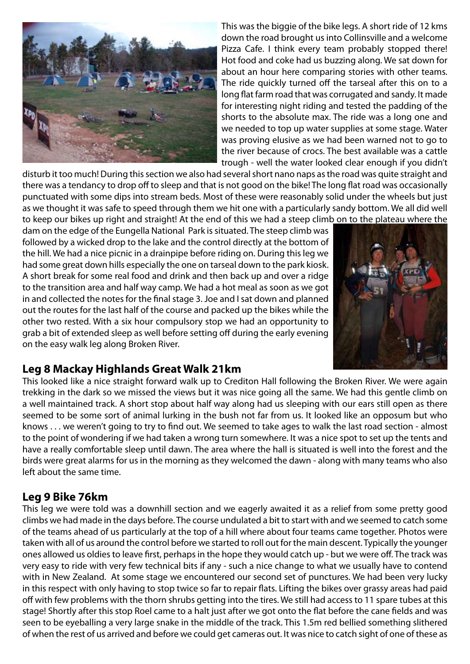

This was the biggie of the bike legs. A short ride of 12 kms down the road brought us into Collinsville and a welcome Pizza Cafe. I think every team probably stopped there! Hot food and coke had us buzzing along. We sat down for about an hour here comparing stories with other teams. The ride quickly turned off the tarseal after this on to a long flat farm road that was corrugated and sandy. It made for interesting night riding and tested the padding of the shorts to the absolute max. The ride was a long one and we needed to top up water supplies at some stage. Water was proving elusive as we had been warned not to go to the river because of crocs. The best available was a cattle trough - well the water looked clear enough if you didn't

disturb it too much! During this section we also had several short nano naps as the road was quite straight and there was a tendancy to drop off to sleep and that is not good on the bike! The long flat road was occasionally punctuated with some dips into stream beds. Most of these were reasonably solid under the wheels but just as we thought it was safe to speed through them we hit one with a particularly sandy bottom. We all did well to keep our bikes up right and straight! At the end of this we had a steep climb on to the plateau where the

dam on the edge of the Eungella National Park is situated. The steep climb was followed by a wicked drop to the lake and the control directly at the bottom of the hill. We had a nice picnic in a drainpipe before riding on. During this leg we had some great down hills especially the one on tarseal down to the park kiosk. A short break for some real food and drink and then back up and over a ridge to the transition area and half way camp. We had a hot meal as soon as we got in and collected the notes for the final stage 3. Joe and I sat down and planned out the routes for the last half of the course and packed up the bikes while the other two rested. With a six hour compulsory stop we had an opportunity to grab a bit of extended sleep as well before setting off during the early evening on the easy walk leg along Broken River.



## **Leg 8 Mackay Highlands Great Walk 21km**

This looked like a nice straight forward walk up to Crediton Hall following the Broken River. We were again trekking in the dark so we missed the views but it was nice going all the same. We had this gentle climb on a well maintained track. A short stop about half way along had us sleeping with our ears still open as there seemed to be some sort of animal lurking in the bush not far from us. It looked like an opposum but who knows . . . we weren't going to try to find out. We seemed to take ages to walk the last road section - almost to the point of wondering if we had taken a wrong turn somewhere. It was a nice spot to set up the tents and have a really comfortable sleep until dawn. The area where the hall is situated is well into the forest and the birds were great alarms for us in the morning as they welcomed the dawn - along with many teams who also left about the same time.

## **Leg 9 Bike 76km**

This leg we were told was a downhill section and we eagerly awaited it as a relief from some pretty good climbs we had made in the days before. The course undulated a bit to start with and we seemed to catch some of the teams ahead of us particularly at the top of a hill where about four teams came together. Photos were taken with all of us around the control before we started to roll out for the main descent. Typically the younger ones allowed us oldies to leave first, perhaps in the hope they would catch up - but we were off. The track was very easy to ride with very few technical bits if any - such a nice change to what we usually have to contend with in New Zealand. At some stage we encountered our second set of punctures. We had been very lucky in this respect with only having to stop twice so far to repair flats. Lifting the bikes over grassy areas had paid off with few problems with the thorn shrubs getting into the tires. We still had access to 11 spare tubes at this stage! Shortly after this stop Roel came to a halt just after we got onto the flat before the cane fields and was seen to be eyeballing a very large snake in the middle of the track. This 1.5m red bellied something slithered of when the rest of us arrived and before we could get cameras out. It was nice to catch sight of one of these as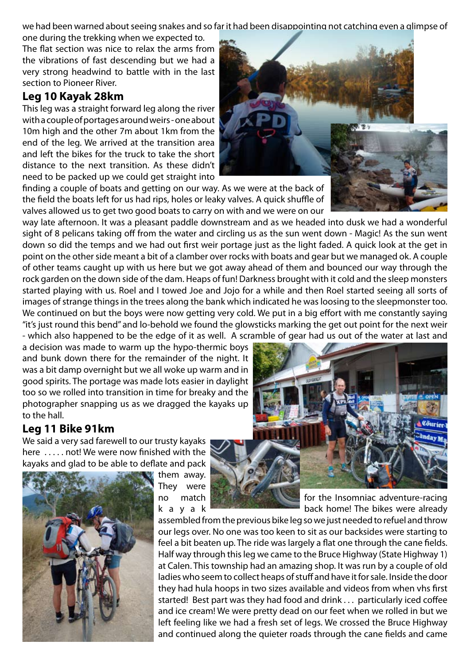we had been warned about seeing snakes and so far it had been disappointing not catching even a glimpse of

one during the trekking when we expected to. The flat section was nice to relax the arms from the vibrations of fast descending but we had a very strong headwind to battle with in the last section to Pioneer River.

#### **Leg 10 Kayak 28km**

This leg was a straight forward leg along the river with a couple of portages around weirs - one about 10m high and the other 7m about 1km from the end of the leg. We arrived at the transition area and left the bikes for the truck to take the short distance to the next transition. As these didn't need to be packed up we could get straight into

finding a couple of boats and getting on our way. As we were at the back of the field the boats left for us had rips, holes or leaky valves. A quick shuffle of valves allowed us to get two good boats to carry on with and we were on our



way late afternoon. It was a pleasant paddle downstream and as we headed into dusk we had a wonderful sight of 8 pelicans taking off from the water and circling us as the sun went down - Magic! As the sun went down so did the temps and we had out first weir portage just as the light faded. A quick look at the get in point on the other side meant a bit of a clamber over rocks with boats and gear but we managed ok. A couple of other teams caught up with us here but we got away ahead of them and bounced our way through the rock garden on the down side of the dam. Heaps of fun! Darkness brought with it cold and the sleep monsters started playing with us. Roel and I towed Joe and Jojo for a while and then Roel started seeing all sorts of images of strange things in the trees along the bank which indicated he was loosing to the sleepmonster too. We continued on but the boys were now getting very cold. We put in a big effort with me constantly saying "it's just round this bend" and lo-behold we found the glowsticks marking the get out point for the next weir - which also happened to be the edge of it as well. A scramble of gear had us out of the water at last and

a decision was made to warm up the hypo-thermic boys and bunk down there for the remainder of the night. It was a bit damp overnight but we all woke up warm and in good spirits. The portage was made lots easier in daylight too so we rolled into transition in time for breaky and the photographer snapping us as we dragged the kayaks up to the hall.

#### **Leg 11 Bike 91km**

We said a very sad farewell to our trusty kayaks here ..... not! We were now finished with the kayaks and glad to be able to deflate and pack



them away. They were



no match **for the Insomniac adventure-racing** k a y a k  $\overline{a}$  k back home! The bikes were already

assembled from the previous bike leg so we just needed to refuel and throw our legs over. No one was too keen to sit as our backsides were starting to feel a bit beaten up. The ride was largely a flat one through the cane fields. Half way through this leg we came to the Bruce Highway (State Highway 1) at Calen. This township had an amazing shop. It was run by a couple of old ladies who seem to collect heaps of stuff and have it for sale. Inside the door they had hula hoops in two sizes available and videos from when vhs first started! Best part was they had food and drink . . . particularly iced coffee and ice cream! We were pretty dead on our feet when we rolled in but we left feeling like we had a fresh set of legs. We crossed the Bruce Highway and continued along the quieter roads through the cane fields and came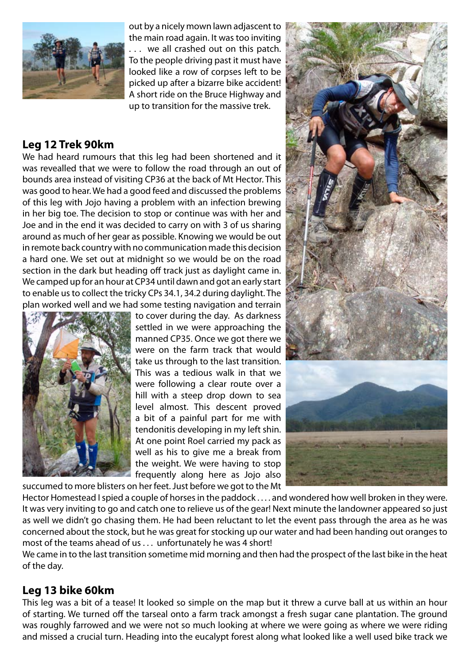

out by a nicely mown lawn adjascent to the main road again. It was too inviting

. . . we all crashed out on this patch. To the people driving past it must have looked like a row of corpses left to be picked up after a bizarre bike accident! A short ride on the Bruce Highway and up to transition for the massive trek.

# **Leg 12 Trek 90km**

We had heard rumours that this leg had been shortened and it was revealled that we were to follow the road through an out of bounds area instead of visiting CP36 at the back of Mt Hector. This was good to hear. We had a good feed and discussed the problems of this leg with Jojo having a problem with an infection brewing in her big toe. The decision to stop or continue was with her and Joe and in the end it was decided to carry on with 3 of us sharing around as much of her gear as possible. Knowing we would be out in remote back country with no communication made this decision a hard one. We set out at midnight so we would be on the road section in the dark but heading off track just as daylight came in. We camped up for an hour at CP34 until dawn and got an early start to enable us to collect the tricky CPs 34.1, 34.2 during daylight. The plan worked well and we had some testing navigation and terrain



to cover during the day. As darkness settled in we were approaching the manned CP35. Once we got there we were on the farm track that would take us through to the last transition. This was a tedious walk in that we were following a clear route over a hill with a steep drop down to sea level almost. This descent proved a bit of a painful part for me with tendonitis developing in my left shin. At one point Roel carried my pack as well as his to give me a break from the weight. We were having to stop frequently along here as Jojo also succumed to more blisters on her feet. Just before we got to the Mt



Hector Homestead I spied a couple of horses in the paddock . . . . and wondered how well broken in they were. It was very inviting to go and catch one to relieve us of the gear! Next minute the landowner appeared so just as well we didn't go chasing them. He had been reluctant to let the event pass through the area as he was concerned about the stock, but he was great for stocking up our water and had been handing out oranges to most of the teams ahead of us . . . unfortunately he was 4 short!

We came in to the last transition sometime mid morning and then had the prospect of the last bike in the heat of the day.

## **Leg 13 bike 60km**

This leg was a bit of a tease! It looked so simple on the map but it threw a curve ball at us within an hour of starting. We turned off the tarseal onto a farm track amongst a fresh sugar cane plantation. The ground was roughly farrowed and we were not so much looking at where we were going as where we were riding and missed a crucial turn. Heading into the eucalypt forest along what looked like a well used bike track we